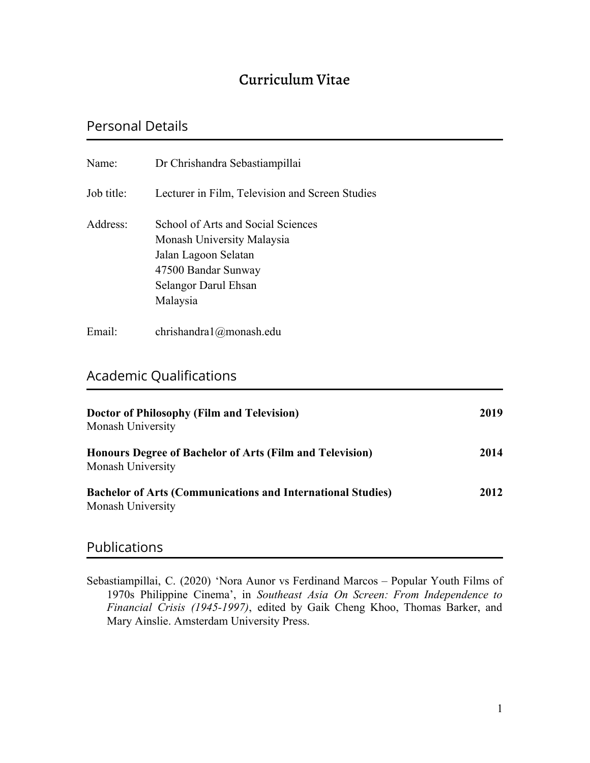# Curriculum Vitae

# Personal Details

| Name:      | Dr Chrishandra Sebastiampillai                                                                                                                      |
|------------|-----------------------------------------------------------------------------------------------------------------------------------------------------|
| Job title: | Lecturer in Film, Television and Screen Studies                                                                                                     |
| Address:   | School of Arts and Social Sciences<br>Monash University Malaysia<br>Jalan Lagoon Selatan<br>47500 Bandar Sunway<br>Selangor Darul Ehsan<br>Malaysia |
| Email:     | chrishandra $1$ ( $a$ ) monash. edu                                                                                                                 |

# Academic Qualifications

| <b>Doctor of Philosophy (Film and Television)</b><br>Monash University                  | 2019 |
|-----------------------------------------------------------------------------------------|------|
| Honours Degree of Bachelor of Arts (Film and Television)<br>Monash University           | 2014 |
| <b>Bachelor of Arts (Communications and International Studies)</b><br>Monash University | 2012 |

## Publications

Sebastiampillai, C. (2020) 'Nora Aunor vs Ferdinand Marcos – Popular Youth Films of 1970s Philippine Cinema', in *Southeast Asia On Screen: From Independence to Financial Crisis (1945-1997)*, edited by Gaik Cheng Khoo, Thomas Barker, and Mary Ainslie. Amsterdam University Press.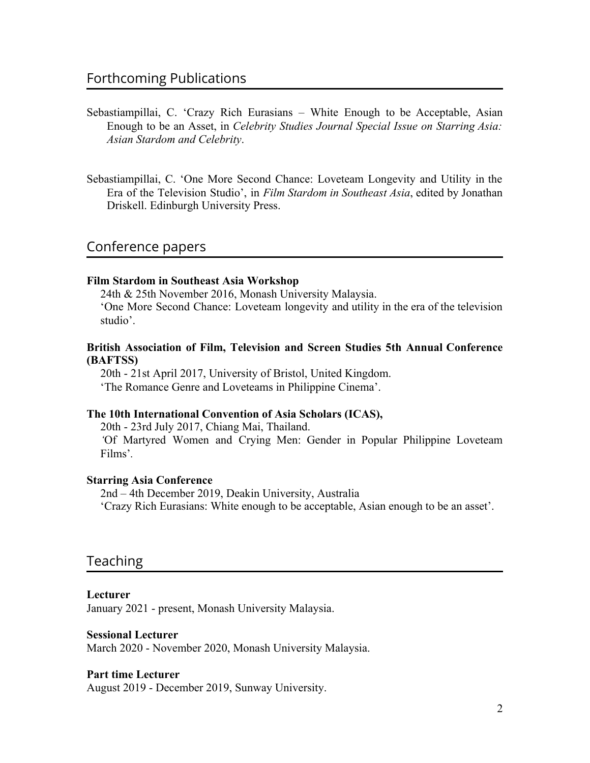- Sebastiampillai, C. 'Crazy Rich Eurasians White Enough to be Acceptable, Asian Enough to be an Asset, in *Celebrity Studies Journal Special Issue on Starring Asia: Asian Stardom and Celebrity*.
- Sebastiampillai, C. 'One More Second Chance: Loveteam Longevity and Utility in the Era of the Television Studio', in *Film Stardom in Southeast Asia*, edited by Jonathan Driskell. Edinburgh University Press.

## Conference papers

#### **Film Stardom in Southeast Asia Workshop**

24th & 25th November 2016, Monash University Malaysia. 'One More Second Chance: Loveteam longevity and utility in the era of the television studio'.

### **British Association of Film, Television and Screen Studies 5th Annual Conference (BAFTSS)**

20th - 21st April 2017, University of Bristol, United Kingdom. 'The Romance Genre and Loveteams in Philippine Cinema'.

### **The 10th International Convention of Asia Scholars (ICAS),**

20th - 23rd July 2017, Chiang Mai, Thailand. *'*Of Martyred Women and Crying Men: Gender in Popular Philippine Loveteam Films'*.*

### **Starring Asia Conference**

2nd – 4th December 2019, Deakin University, Australia 'Crazy Rich Eurasians: White enough to be acceptable, Asian enough to be an asset'.

## Teaching

### **Lecturer**

January 2021 - present, Monash University Malaysia.

#### **Sessional Lecturer**

March 2020 - November 2020, Monash University Malaysia.

#### **Part time Lecturer**

August 2019 - December 2019, Sunway University.